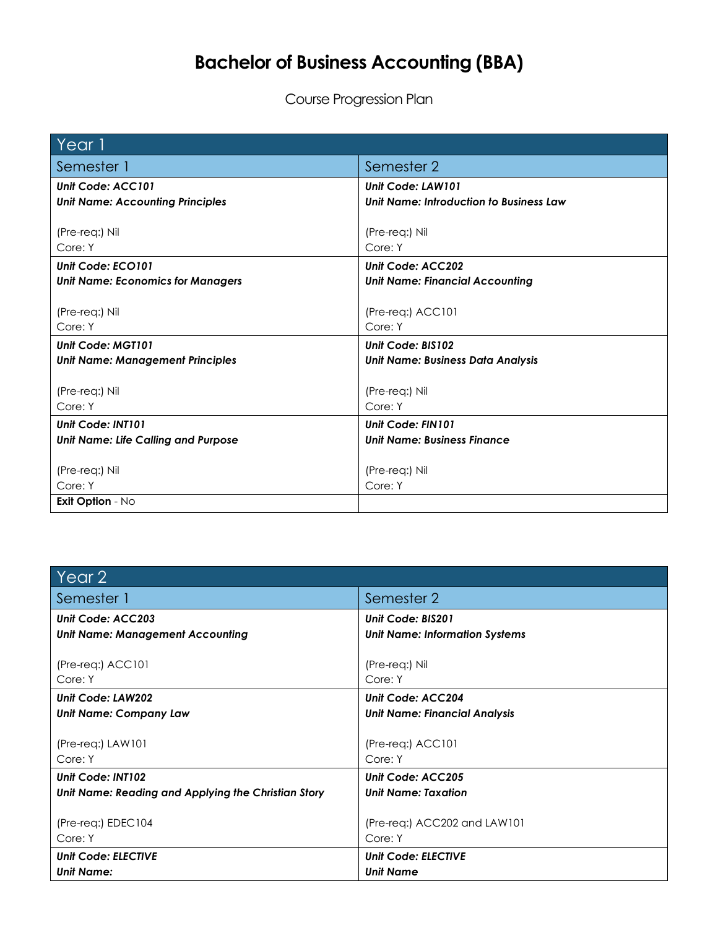## **Bachelor of Business Accounting (BBA)**

Course Progression Plan

| Year 1                                     |                                          |
|--------------------------------------------|------------------------------------------|
| Semester 1                                 | Semester 2                               |
| Unit Code: ACC101                          | Unit Code: LAW101                        |
| <b>Unit Name: Accounting Principles</b>    | Unit Name: Introduction to Business Law  |
|                                            |                                          |
| (Pre-req:) Nil                             | (Pre-req:) Nil                           |
| Core: Y                                    | Core: Y                                  |
| Unit Code: ECO101                          | Unit Code: ACC202                        |
| <b>Unit Name: Economics for Managers</b>   | <b>Unit Name: Financial Accounting</b>   |
|                                            |                                          |
| (Pre-req:) Nil                             | $(Pre-reg.)$ $ACC101$                    |
| Core: Y                                    | Core: Y                                  |
| Unit Code: MGT101                          | Unit Code: BIS102                        |
| <b>Unit Name: Management Principles</b>    | <b>Unit Name: Business Data Analysis</b> |
|                                            |                                          |
| (Pre-req:) Nil                             | (Pre-req:) Nil                           |
| Core: Y                                    | Core: Y                                  |
| Unit Code: INT101                          | Unit Code: FIN101                        |
| <b>Unit Name: Life Calling and Purpose</b> | <b>Unit Name: Business Finance</b>       |
|                                            |                                          |
| (Pre-req:) Nil                             | (Pre-req:) Nil                           |
| Core: Y                                    | Core: Y                                  |
| Exit Option - No                           |                                          |

| Year 2                                              |                                       |
|-----------------------------------------------------|---------------------------------------|
| Semester 1                                          | Semester 2                            |
| Unit Code: ACC203                                   | Unit Code: BIS201                     |
| Unit Name: Management Accounting                    | <b>Unit Name: Information Systems</b> |
| (Pre-req:) ACC101                                   | (Pre-req:) Nil                        |
| Core: Y                                             | Core: Y                               |
| Unit Code: LAW202                                   | Unit Code: ACC204                     |
| Unit Name: Company Law                              | <b>Unit Name: Financial Analysis</b>  |
|                                                     |                                       |
| (Pre-req:) LAW101                                   | (Pre-req:) ACC101                     |
| Core: Y                                             | Core: Y                               |
| Unit Code: INT102                                   | Unit Code: ACC205                     |
| Unit Name: Reading and Applying the Christian Story | <b>Unit Name: Taxation</b>            |
|                                                     |                                       |
| (Pre-req:) EDEC104                                  | (Pre-req:) ACC202 and LAW101          |
| Core: Y                                             | Core: Y                               |
| <b>Unit Code: ELECTIVE</b>                          | <b>Unit Code: ELECTIVE</b>            |
| <b>Unit Name:</b>                                   | <b>Unit Name</b>                      |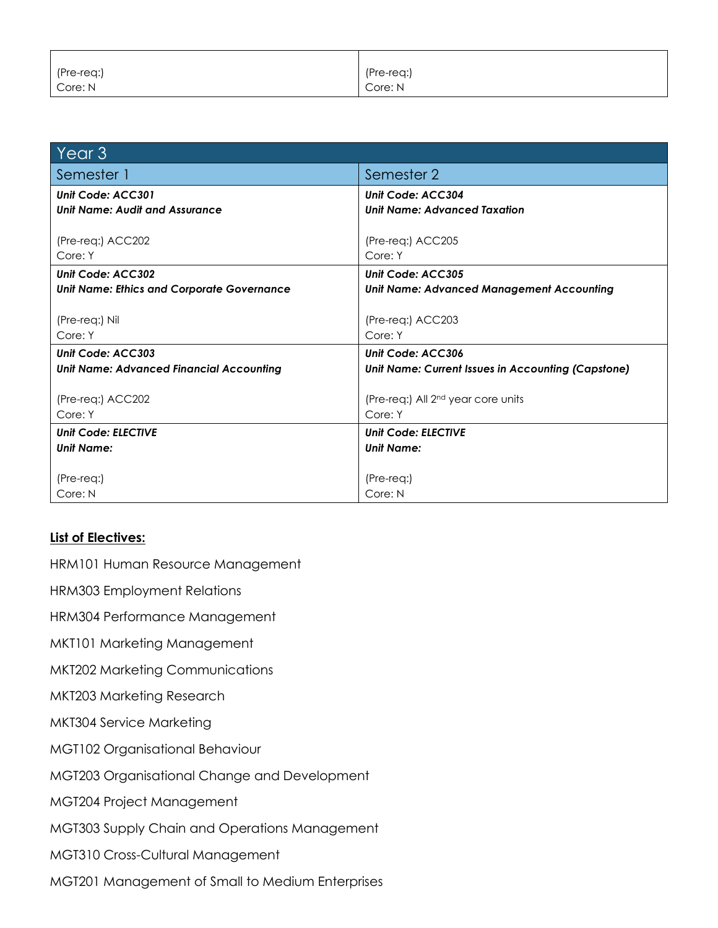| (Pre-req:) | (Pre-req:) |
|------------|------------|
| Core: N    | Core: N    |

| Year <sub>3</sub>                                 |                                                           |
|---------------------------------------------------|-----------------------------------------------------------|
| Semester 1                                        | Semester 2                                                |
| Unit Code: ACC301                                 | Unit Code: ACC304                                         |
| Unit Name: Audit and Assurance                    | <b>Unit Name: Advanced Taxation</b>                       |
|                                                   |                                                           |
| (Pre-req:) ACC202                                 | (Pre-req:) ACC205                                         |
| Core: Y                                           | Core: Y                                                   |
| Unit Code: ACC302                                 | Unit Code: ACC305                                         |
| <b>Unit Name: Ethics and Corporate Governance</b> | <b>Unit Name: Advanced Management Accounting</b>          |
|                                                   |                                                           |
| (Pre-req:) Nil                                    | (Pre-req:) ACC203                                         |
| Core: Y                                           | Core: Y                                                   |
| Unit Code: ACC303                                 | Unit Code: ACC306                                         |
| <b>Unit Name: Advanced Financial Accounting</b>   | <b>Unit Name: Current Issues in Accounting (Capstone)</b> |
|                                                   |                                                           |
| (Pre-req:) ACC202                                 | (Pre-req:) All 2 <sup>nd</sup> year core units            |
| Core: Y                                           | Core: Y                                                   |
| <b>Unit Code: ELECTIVE</b>                        | <b>Unit Code: ELECTIVE</b>                                |
| <b>Unit Name:</b>                                 | <b>Unit Name:</b>                                         |
|                                                   |                                                           |
| $(Pre-req.)$                                      | (Pre-req:)                                                |
| Core: N                                           | Core: N                                                   |

## **List of Electives:**

HRM101 Human Resource Management

HRM303 Employment Relations

HRM304 Performance Management

MKT101 Marketing Management

MKT202 Marketing Communications

MKT203 Marketing Research

MKT304 Service Marketing

MGT102 Organisational Behaviour

MGT203 Organisational Change and Development

MGT204 Project Management

MGT303 Supply Chain and Operations Management

MGT310 Cross-Cultural Management

MGT201 Management of Small to Medium Enterprises